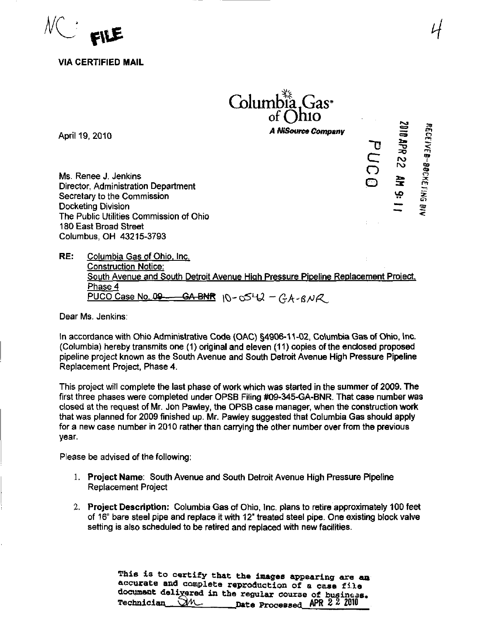

VIA CERTIFIED MAIL

## Columbia, Gas<sup>•</sup> of Ohio

A NiSource Company

 $\mathbf{D}$ C  $\bar{\Omega}$ 

 $\tilde{}$ 

 $\bar{\mathbf{x}}$ 

O rn

3te

«•

April 19, 2010

Ms. Renee J. Jenkins Director, Administration Department Secretary to the Commission Docketing Division The Public Utilities Commission of Ohio ^ 180 East Broad Street Columbus, OH 43215-3793

RE: Columbia Gas of Ohio. Inc. Construction Notice: South Avenue and South Detroit Avenue High Pressure Pipeline Replacement Proiect, Phase 4<br>PUCO Case No. 09--- $\frac{-\textsf{GA-BMR}}{2}$  10-0542 – GA-BNR

Dear Ms. Jenkins:

In accordance with Ohio Administrative Code (OAC) §4906-11-02, Columbia Gas of Ohio, Inc. (Columbia) hereby transmits one (1) original and eleven (11) copies of the enclosed proposed pipeline project known as the South Avenue and South Detroit Avenue High Pressure Pipeline Replacement Project, Phase 4.

This project will complete the last phase of work which was started in the summer of 2009. The first three phases were completed under OPSB Filing #09-345-GA-BNR. That case number was closed at the request of Mr. Jon Pawley, the OPSB case manager, when the construction work that was planned for 2009 finished up. Mr. Pawley suggested that Columbia Gas should apply for a new case number in 2010 rather than carrying the other number over from the previous year.

Please be advised of the following:

- 1, Project Name: South Avenue and South Detroit Avenue High Pressure Pipeline Replacement Project
- 2. Project Description: Columbia Gas of Ohio, Inc. plans to retire approximately 100 feet of 16" bare steel pipe and replace it with 12" treated steel pipe. One existing block valve setting is also scheduled to be retired and replaced with new facilities.

This is to certify that the images appearing are an accurate and complete reproduction of a case file documsnt delivered in the regular course of business.<br>Technician  $\square$ M ... Date Processed APR 2 2 2010  $\frac{1}{\sqrt{2}}$  Date Processed APR 2 2 2010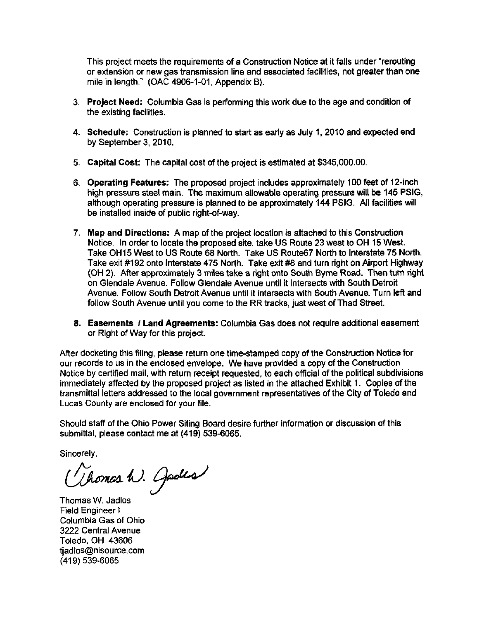This project meets the requirements of a Construction Notice at it falls under "rerouting or extension or new gas transmission line and associated facilities, not greater than one mile in length." (OAC 4906-1-01, Appendix B).

- 3- Project Need: Columbia Gas is performing this work due to the age and condition of the existing facilities.
- 4. Schedule: Construction is planned to start as early as July 1, 2010 and expected end by September 3, 2010.
- 5. Capital Cost: The capital cost of the project is estimated at \$345,000.00.
- 6. Operating Features: The proposed project includes approximately 100 feet of 12-inch high pressure steel main. The maximum allowable operating pressure will be 146 PSIG, although operating pressure is planned to be approximately 144 PSIG. All facilities will be installed inside of public right-of-way.
- 7. Map and Directions: A map of the project location is attached to this Construction Notice. In order to locate the proposed site, take US Route 23 west to OH 15 West. Take 0H15 West to US Route 68 North. Take US Route67 North to Interstate 75 North. Take exit #192 onto Interstate 475 North. Take exit #8 and turn right on Airport Highway (OH 2). After approximately 3 miles take a right onto South Byrne Road. Then turn right on Glendale Avenue. Follow Glendale Avenue until it intersects with South Detroit Avenue. Follow South Detroit Avenue until it intersects with South Avenue. Turn left and follow South Avenue until you come to the RR tracks, just west of Thad Street.
- 8. Easements / Land Agreements: Columbia Gas does not require additional easement or Right of Way for this project.

After docketing this filing, please return one time-stamped copy of the Construction Notice for our records to us in the enclosed envelope. We have provided a copy of the Construction Notice by certified mail, with return receipt requested, to each official of the political subdivisions immediately affected by the proposed project as listed in the attached Exhibit 1. Copies of the transmittal letters addressed to the local government representatives of the City of Toledo and Lucas County are enclosed for your file.

Should staff of the Ohio Power Siting Board desire further information or discussion of this submittal, please contact me at (419) 539-6065.

Sincerely,

(Vhomas h). Jades

Thomas W. Jadlos Field Engineer I Columbia Gas of Ohio 3222 Central Avenue Toledo, OH 43606 [tjadlos@nisource.com](mailto:tjadlos@nisource.com)  (419) 539-6065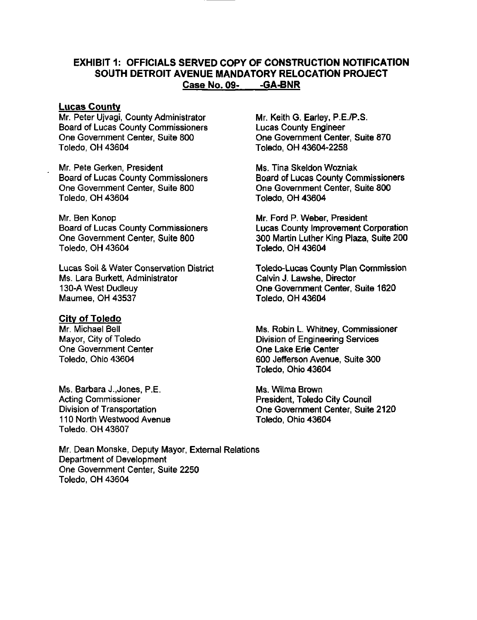## EXHIBIT 1: OFFICIALS SERVED COPY OF CONSTRUCTION NOTIFICATION SOUTH DETROIT AVENUE MANDATORY RELOCATION PROJECT Case No. 09- -GA-BNR

## Lucas County

Mr. Peter Ujvagi, County Administrator Board of Lucas County Commissioners One Government Center, Suite 800 Toledo. OH 43604

Mr. Pete Gerken, President Board of Lucas County Commissioners One Government Center, Suite 800 Toledo, OH 43604

Mr. Ben Konop Board of Lucas County Commissioners One Government Center, Suite 800 Toledo, OH 43604

Lucas Soil & Water Conservation District Ms. Lara Burkett, Administrator 130-A West Dudleuy Maumee, OH 43537

## City of Toledo

Mr. Michael Bell Mayor, City of Toledo One Government Center Toledo. Ohio 43604

Ms. Barbara J.,Jones, P.E. Acting Commissioner Division of Transportation 110 North Westwood Avenue Toledo. OH 43607

Mr. Dean Monske, Deputy Mayor, External Relations Department of Development One Government Center, Suite 2250 Toledo, OH 43604

Mr. Keith G. Earley, P.E./P.S. Lucas County Engineer One Government Center, Suite 870 Toledo. OH 43604-2258

Ms. Tina Skeldon Wozniak Board of Lucas County Commissioners One Government Center, Suite 800 Toledo. OH 43604

Mr. Ford P. Weber, President Lucas County Improvement Corporation 300 Martin Luther King Plaza, Suite 200 Toledo. OH 43604

Toledo-Lucas County Plan Commission Calvin J. Lawshe, Director One Government Center, Suite 1620 Toledo, OH 43604

Ms. Robin L. Whitney, Commissioner Division of Engineering Services One Lake Erie Center 600 Jefferson Avenue, Suite 300 Toledo, Ohio 43604

Ms. Wilma Brown President, Toledo City Council One Government Center, Suite 2120 Toledo. Ohio 43604